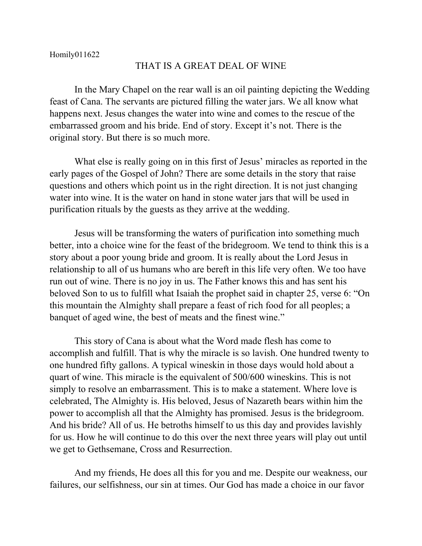## THAT IS A GREAT DEAL OF WINE

In the Mary Chapel on the rear wall is an oil painting depicting the Wedding feast of Cana. The servants are pictured filling the water jars. We all know what happens next. Jesus changes the water into wine and comes to the rescue of the embarrassed groom and his bride. End of story. Except it's not. There is the original story. But there is so much more.

What else is really going on in this first of Jesus' miracles as reported in the early pages of the Gospel of John? There are some details in the story that raise questions and others which point us in the right direction. It is not just changing water into wine. It is the water on hand in stone water jars that will be used in purification rituals by the guests as they arrive at the wedding.

Jesus will be transforming the waters of purification into something much better, into a choice wine for the feast of the bridegroom. We tend to think this is a story about a poor young bride and groom. It is really about the Lord Jesus in relationship to all of us humans who are bereft in this life very often. We too have run out of wine. There is no joy in us. The Father knows this and has sent his beloved Son to us to fulfill what Isaiah the prophet said in chapter 25, verse 6: "On this mountain the Almighty shall prepare a feast of rich food for all peoples; a banquet of aged wine, the best of meats and the finest wine."

This story of Cana is about what the Word made flesh has come to accomplish and fulfill. That is why the miracle is so lavish. One hundred twenty to one hundred fifty gallons. A typical wineskin in those days would hold about a quart of wine. This miracle is the equivalent of 500/600 wineskins. This is not simply to resolve an embarrassment. This is to make a statement. Where love is celebrated, The Almighty is. His beloved, Jesus of Nazareth bears within him the power to accomplish all that the Almighty has promised. Jesus is the bridegroom. And his bride? All of us. He betroths himself to us this day and provides lavishly for us. How he will continue to do this over the next three years will play out until we get to Gethsemane, Cross and Resurrection.

And my friends, He does all this for you and me. Despite our weakness, our failures, our selfishness, our sin at times. Our God has made a choice in our favor